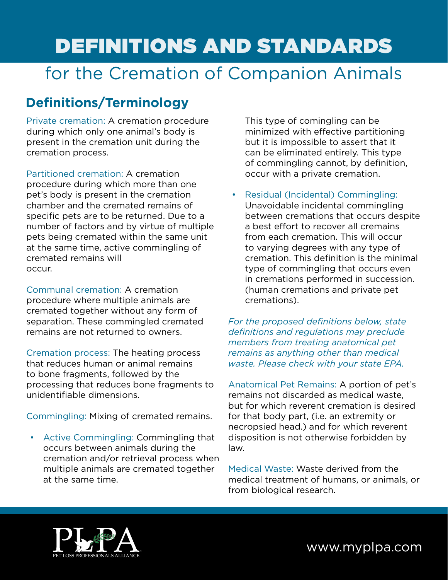# Definitions and Standards

## for the Cremation of Companion Animals

## **Definitions/Terminology**

Private cremation: A cremation procedure during which only one animal's body is present in the cremation unit during the cremation process.

Partitioned cremation: A cremation procedure during which more than one pet's body is present in the cremation chamber and the cremated remains of specific pets are to be returned. Due to a number of factors and by virtue of multiple pets being cremated within the same unit at the same time, active commingling of cremated remains will occur.

Communal cremation: A cremation procedure where multiple animals are cremated together without any form of separation. These commingled cremated remains are not returned to owners.

Cremation process: The heating process that reduces human or animal remains to bone fragments, followed by the processing that reduces bone fragments to unidentifiable dimensions.

Commingling: Mixing of cremated remains.

• Active Commingling: Commingling that occurs between animals during the cremation and/or retrieval process when multiple animals are cremated together at the same time.

This type of comingling can be minimized with effective partitioning but it is impossible to assert that it can be eliminated entirely. This type of commingling cannot, by definition, occur with a private cremation.

Residual (Incidental) Commingling: Unavoidable incidental commingling between cremations that occurs despite a best effort to recover all cremains from each cremation. This will occur to varying degrees with any type of cremation. This definition is the minimal type of commingling that occurs even in cremations performed in succession. (human cremations and private pet cremations).

*For the proposed definitions below, state definitions and regulations may preclude members from treating anatomical pet remains as anything other than medical waste. Please check with your state EPA.*

Anatomical Pet Remains: A portion of pet's remains not discarded as medical waste, but for which reverent cremation is desired for that body part, (i.e. an extremity or necropsied head.) and for which reverent disposition is not otherwise forbidden by law.

Medical Waste: Waste derived from the medical treatment of humans, or animals, or from biological research.



www.myplpa.com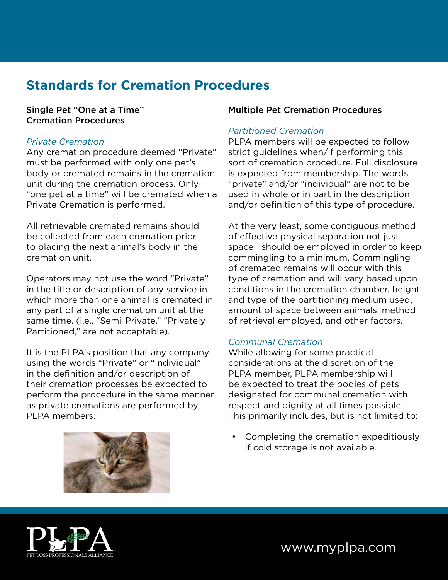## **Standards for Cremation Procedures**

#### Single Pet "One at a Time" Cremation Procedures

#### *Private Cremation*

Any cremation procedure deemed "Private" must be performed with only one pet's body or cremated remains in the cremation unit during the cremation process. Only "one pet at a time" will be cremated when a Private Cremation is performed.

All retrievable cremated remains should be collected from each cremation prior to placing the next animal's body in the cremation unit.

Operators may not use the word "Private" in the title or description of any service in which more than one animal is cremated in any part of a single cremation unit at the same time. (i.e., "Semi-Private," "Privately Partitioned," are not acceptable).

It is the PLPA's position that any company using the words "Private" or "Individual" in the definition and/or description of their cremation processes be expected to perform the procedure in the same manner as private cremations are performed by PLPA members.



#### Multiple Pet Cremation Procedures

#### *Partitioned Cremation*

PLPA members will be expected to follow strict guidelines when/if performing this sort of cremation procedure. Full disclosure is expected from membership. The words "private" and/or "individual" are not to be used in whole or in part in the description and/or definition of this type of procedure.

At the very least, some contiguous method of effective physical separation not just space—should be employed in order to keep commingling to a minimum. Commingling of cremated remains will occur with this type of cremation and will vary based upon conditions in the cremation chamber, height and type of the partitioning medium used, amount of space between animals, method of retrieval employed, and other factors.

#### *Communal Cremation*

While allowing for some practical considerations at the discretion of the PLPA member, PLPA membership will be expected to treat the bodies of pets designated for communal cremation with respect and dignity at all times possible. This primarily includes, but is not limited to:

• Completing the cremation expeditiously if cold storage is not available.



## www.myplpa.com